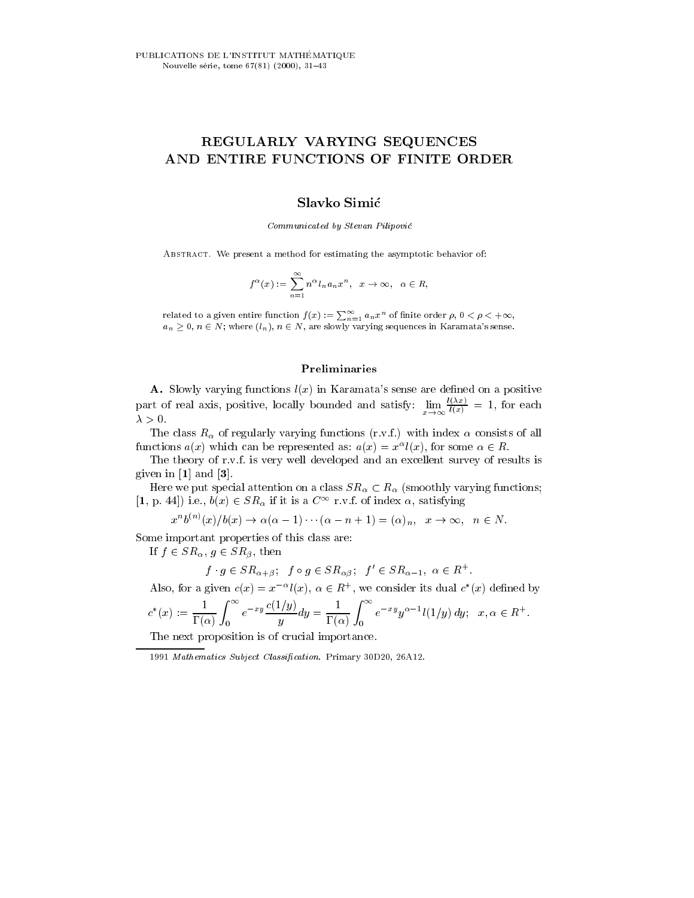# REGULARLY VARYING SEQUENCES AND ENTIRE FUNCTIONS OF FINITE ORDER

# Slavko Simic

Communicated by Stevan Pilipovic

ABSTRACT. We present a method for estimating the asymptotic behavior of:

$$
f^{\alpha}(x) := \sum_{n=1}^{\infty} n^{\alpha} l_n a_n x^n, \quad x \to \infty, \quad \alpha \in R,
$$

related to a given entire function  $f(x) := \sum_{n=1}^{\infty} a_n x^n$  of finite order  $\rho, 0 < \rho < +\infty$ ,<br> $a_n > 0, n \in N$ ; where  $(l_n), n \in N$ , are slowly varying sequences in Karamata's sense.

## Preliminaries

A. Slowly varying functions  $l(x)$  in Karamata's sense are defined on a positive part of real axis, positive, locally bounded and satisfy:  $\lim_{x\to a} \frac{f(x)}{f(x)} = 1$ , for each

The class  $R_{\alpha}$  of regularly varying functions (r.v.f.) with index  $\alpha$  consists of all functions  $a(x)$  which can be represented as:  $a(x) = x^{\alpha} l(x)$ , for some  $\alpha \in R$ .

The theory of r.v.f. is very well developed and an excellent survey of results is given in [1] and [3].

Here we put special attention on a class  $SR_\alpha \subset R_\alpha$  (smoothly varying functions; [1, p. 44]) i.e.,  $b(x) \in SR_{\alpha}$  if it is a  $C^{\infty}$  r.v.f. of index  $\alpha$ , satisfying

$$
x^{n}b^{(n)}(x)/b(x) \to \alpha(\alpha - 1)\cdots(\alpha - n + 1) = (\alpha)_{n}, \quad x \to \infty, \quad n \in N.
$$

Some important properties of this class are:

If  $f \in SR_{\alpha}, g \in SR_{\beta}$ , then

$$
f \cdot g \in SR_{\alpha+\beta}; \quad f \circ g \in SR_{\alpha\beta}; \quad f' \in SR_{\alpha-1}, \ \alpha \in R^+.
$$

Also, for a given  $c(x) = x^{-\alpha} l(x)$ ,  $\alpha \in R^+$ , we consider its dual  $c^*(x)$  defined by

$$
c^*(x) := \frac{1}{\Gamma(\alpha)} \int_0^{\infty} e^{-xy} \frac{c(1/y)}{y} dy = \frac{1}{\Gamma(\alpha)} \int_0^{\infty} e^{-xy} y^{\alpha - 1} l(1/y) dy; \quad x, \alpha \in R^+.
$$

The next proposition is of crucial importance.

<sup>1991</sup> Mathematics Subject Classification. Primary 30D20, 26A12.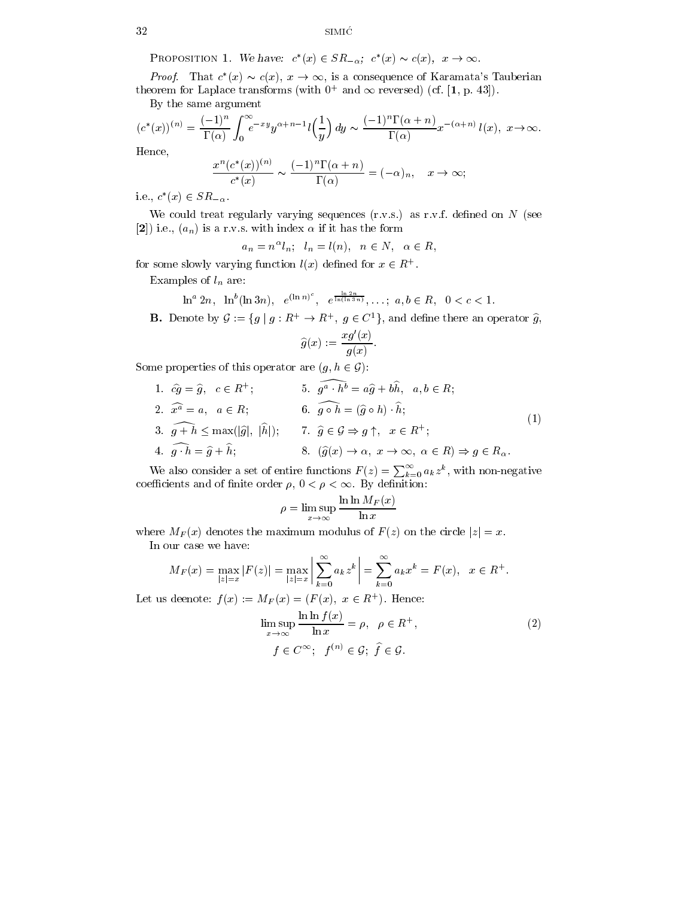PROPOSITION 1. We have:  $c^*(x) \in SR_{-\alpha}$ ;  $c^*(x) \sim c(x)$ ,  $x \to \infty$ .

*Proof.* That  $c^*(x) \sim c(x)$ ,  $x \to \infty$ , is a consequence of Karamata's Tauberian theorem for Laplace transforms (with  $0+$  and  $\infty$  reversed) (cf.  $|1,$  p. 43]).

By the same argument

$$
(c^*(x))^{(n)} = \frac{(-1)^n}{\Gamma(\alpha)} \int_0^\infty e^{-xy} y^{\alpha+n-1} l\left(\frac{1}{y}\right) dy \sim \frac{(-1)^n \Gamma(\alpha+n)}{\Gamma(\alpha)} x^{-(\alpha+n)} l(x), \ x \to \infty.
$$
  
Hence

Hence,

$$
\frac{x^n(c^*(x))^{(n)}}{c^*(x)} \sim \frac{(-1)^n \Gamma(\alpha + n)}{\Gamma(\alpha)} = (-\alpha)_n, \quad x \to \infty;
$$

i.e.,  $c^*(x) \in SR_{-\alpha}$ .

We could treat regularly varying sequences  $(r.v.s.)$  as r.v.f. defined on N (see [2]) i.e.,  $(a_n)$  is a r.v.s. with index  $\alpha$  if it has the form

 $a_n = n^\alpha l_n; \quad l_n = l(n), \quad n \in N, \quad \alpha \in R,$ 

for some slowly varying function  $l(x)$  defined for  $x \in R^+$ .

Examples of  $l_n$  are:

 $\ln^a 2n$ ,  $\ln^b (\ln 3n)$ ,  $e^{(\ln n)^2}$ ,  $e^{\frac{\ln (\ln 3n)}{n}}$ ,  $\frac{\ln 2n}{\ln(\ln 3n)}, \ldots; a, b \in R, \quad 0 < c < 1.$ 

**B.** Denote by  $\mathcal{G} := \{g \mid g : R^+ \to R^+, g \in C^1\}$ , and define there an operator  $\widehat{g}$ ,

$$
\widehat{g}(x) := \frac{xg'(x)}{g(x)}.
$$

Some properties of this operator are  $(g, h \in \mathcal{G})$ :

1.  $cg = g, \quad c \in R^+;$  5:  $g^a \cdot h^b = ag + bh, \quad a, b \in R;$ 2.  $x^a = a$ ,  $a \in R$ ; 6:  $q \circ h = (q \circ h) \cdot h$ ; 3.  $g + h \le \max(|\widehat{g}|, |h|);$  7.  $\widehat{g} \in \mathcal{G} \Rightarrow g \uparrow, x \in R^+;$ 4.  $\widehat{g \cdot h} = \widehat{g} + \widehat{h};$  8.  $(\widehat{g}(x) \to \alpha, x \to \infty, \alpha \in R) \Rightarrow g \in R_{\alpha}$ . (1)

We also consider a set of entire functions  $F(z) = \sum_{k=0}^{\infty} a_k z^k$ , with non-negative coefficients and of finite order  $\rho, 0 < \rho < \infty$ . By definition:

$$
\rho = \limsup_{x \to \infty} \frac{\ln \ln M_F(x)}{\ln x}
$$

where  $M_F(x)$  denotes the maximum modulus of  $F(z)$  on the circle  $|z|=x$ . In our case we have:

$$
M_F(x) = \max_{|z|=x} |F(z)| = \max_{|z|=x} \left| \sum_{k=0}^{\infty} a_k z^k \right| = \sum_{k=0}^{\infty} a_k x^k = F(x), \quad x \in R^+.
$$

Let us deenote:  $f(x) := M_F(x) = (F(x), x \in R^+)$ . Hence:

$$
\limsup_{x \to \infty} \frac{\ln \ln f(x)}{\ln x} = \rho, \quad \rho \in R^+,
$$
\n
$$
f \in C^{\infty}; \quad f^{(n)} \in \mathcal{G}; \quad \widehat{f} \in \mathcal{G}.
$$
\n(2)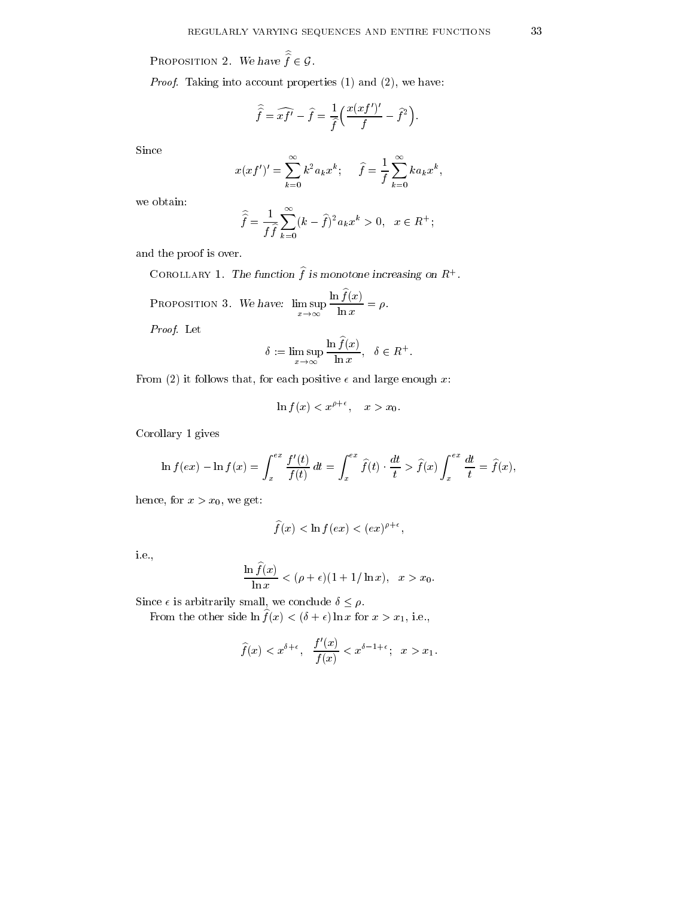Proposition 2. We have  $f \in \mathcal{G}$ .

Proof. Taking into account properties (1) and (2), we have:

$$
\widehat{\widehat{f}} = \widehat{xf'} - \widehat{f} = \frac{1}{\widehat{f}} \left( \frac{x(xf')'}{f} - \widehat{f}^2 \right).
$$

Since

$$
x(xf')' = \sum_{k=0}^{\infty} k^2 a_k x^k; \quad \widehat{f} = \frac{1}{f} \sum_{k=0}^{\infty} k a_k x^k,
$$

we obtain:

$$
\widehat{\widehat{f}} = \frac{1}{f\widehat{f}} \sum_{k=0}^{\infty} (k - \widehat{f})^2 a_k x^k > 0, \ \ x \in R^+;
$$

and the proof is over.

COROLLARY 1. The function  $\hat{f}$  is monotone increasing on  $R^+$ .

PROPOSITION 3. We have: 
$$
\limsup_{x \to \infty} \frac{\ln \widehat{f}(x)}{\ln x} = \rho.
$$

Proof. Let

$$
\delta := \limsup_{x \to \infty} \frac{\ln \widehat{f}(x)}{\ln x}, \quad \delta \in R^+.
$$

From (2) it follows that, for each positive  $\epsilon$  and large enough x:

$$
\ln f(x) < x^{\rho + \epsilon}, \quad x > x_0.
$$

Corollary 1 gives

$$
\ln f(ex) - \ln f(x) = \int_x^{ex} \frac{f'(t)}{f(t)} dt = \int_x^{ex} \hat{f}(t) \cdot \frac{dt}{t} > \hat{f}(x) \int_x^{ex} \frac{dt}{t} = \hat{f}(x),
$$

hence, for  $x>x_0$ , we get:

$$
\widehat{f}(x) < \ln f(ex) < (ex)^{\rho + \epsilon},
$$

i.e.,

$$
\frac{\ln \widehat{f}(x)}{\ln x} < (\rho + \epsilon)(1 + 1/\ln x), \quad x > x_0.
$$

Since  $\epsilon$  is arbitrarily small, we conclude  $\delta \leq \rho.$ 

From the other side  $\ln \widehat{f}(x) < (\delta + \epsilon) \ln x$  for  $x > x_1$ , i.e.,

$$
\widehat{f}(x) < x^{\delta+\epsilon}, \quad \frac{f'(x)}{f(x)} < x^{\delta-1+\epsilon}; \quad x > x_1.
$$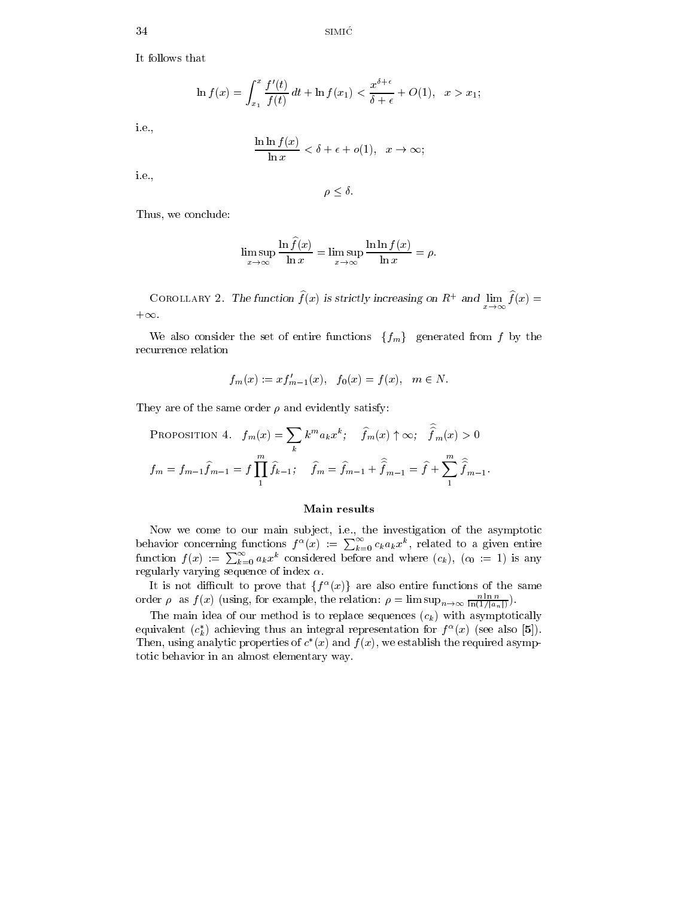It follows that

$$
\ln f(x) = \int_{x_1}^x \frac{f'(t)}{f(t)} dt + \ln f(x_1) < \frac{x^{\delta + \epsilon}}{\delta + \epsilon} + O(1), \ \ x > x_1;
$$

i.e.,

$$
\frac{\ln \ln f(x)}{\ln x} < \delta + \epsilon + o(1), \quad x \to \infty;
$$

i.e.,

$$
\rho \leq \delta.
$$

Thus, we conclude:

$$
\limsup_{x \to \infty} \frac{\ln f(x)}{\ln x} = \limsup_{x \to \infty} \frac{\ln \ln f(x)}{\ln x} = \rho.
$$

COROLLARY 2. The function  $f(x)$  is strictly increasing on R+ and  $\lim f(x) =$  $+\infty$ .

We also consider the set of entire functions  $\{f_m\}$  generated from f by the recurrence relation

$$
f_m(x) := x f'_{m-1}(x), \quad f_0(x) = f(x), \quad m \in N.
$$

They are of the same order  $\rho$  and evidently satisfy:

PROPOSITION 4. 
$$
f_m(x) = \sum_k k^m a_k x^k
$$
;  $\hat{f}_m(x) \uparrow \infty$ ;  $\hat{f}_m(x) > 0$   
\n $f_m = f_{m-1} \hat{f}_{m-1} = f \prod_1^m \hat{f}_{k-1}$ ;  $\hat{f}_m = \hat{f}_{m-1} + \hat{f}_{m-1} = \hat{f} + \sum_1^m \hat{f}_{m-1}$ .

### Main results

Now we come to our main sub ject, i.e., the investigation of the asymptotic behavior concerning functions  $f^{\alpha}(x) := \sum_{k=0}^{\infty} c_k a_k x^k$ , related to a given entire function  $f(x) := \sum_{k=0}^{\infty} a_k x^k$  considered before and where  $(c_k)$ ,  $(c_0 := 1)$  is any regularly varying sequence of index  $\alpha$ .

It is not difficult to prove that  $\{f^{\alpha}(x)\}\$ are also entire functions of the same order  $\rho$  as  $f(x)$  (using, for example, the relation:  $\rho = \limsup_{n \to \infty} \frac{1}{\ln(1/|a_n|)}$ ).

The main idea of our method is to replace sequences  $(c_k)$  with asymptotically equivalent  $(c_k)$  achieving thus an integral representation for  $f^-(x)$  (see also [5]). Then, using analytic properties of  $c^+(x)$  and  $f(x)$ , we establish the required asymptotic behavior in an almost elementary way.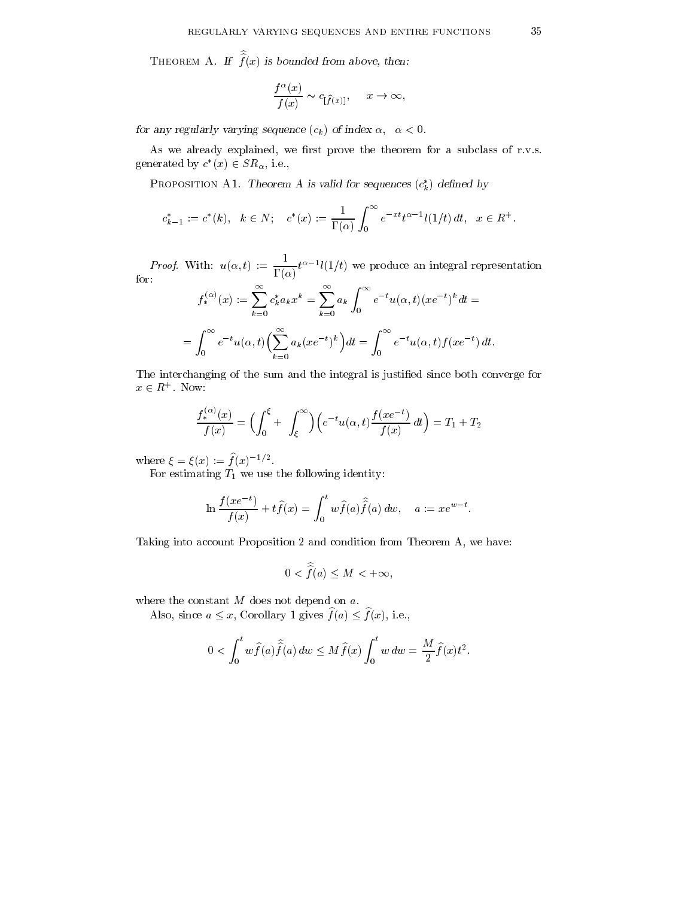THEOREM A. If  $f(x)$  is bounded from above, then:

$$
\frac{f^{\alpha}(x)}{f(x)} \sim c_{[\widehat{f}(x)]}, \quad x \to \infty,
$$

for any regularly varying sequence  $(c_k)$  of index  $\alpha, \alpha < 0$ .

As we already explained, we first prove the theorem for a subclass of r.v.s. generated by  $c^*(x) \in SR_\alpha$ , i.e.,

PROPOSITION AT. Theorem A is valid for sequences  $(c_k)$  defined by

$$
c_{k-1}^* := c^*(k), \quad k \in N; \quad c^*(x) := \frac{1}{\Gamma(\alpha)} \int_0^\infty e^{-xt} t^{\alpha-1} l(1/t) \, dt, \quad x \in R^+.
$$

*Proof.* With:  $u(\alpha, t) := \frac{1}{\Gamma(\alpha)} t^{\alpha-1} l(1/t)$  we produce an integral representation

$$
f_*^{(\alpha)}(x) := \sum_{k=0}^{\infty} c_k^* a_k x^k = \sum_{k=0}^{\infty} a_k \int_0^{\infty} e^{-t} u(\alpha, t) (x e^{-t})^k dt =
$$
  
= 
$$
\int_0^{\infty} e^{-t} u(\alpha, t) \Big( \sum_{k=0}^{\infty} a_k (x e^{-t})^k \Big) dt = \int_0^{\infty} e^{-t} u(\alpha, t) f(x e^{-t}) dt.
$$

The interchanging of the sum and the integral is justied since both converge for  $x \in R^+$ . Now:

$$
\frac{f_*^{(\alpha)}(x)}{f(x)} = \Big(\int_0^{\xi} + \int_{\xi}^{\infty}\Big)\Big(e^{-t}u(\alpha, t)\frac{f(xe^{-t})}{f(x)}dt\Big) = T_1 + T_2
$$

where  $\zeta = \zeta(x) := f(x)^{-1}$ .

For estimating  $T_1$  we use the following identity:

$$
\ln \frac{f(xe^{-t})}{f(x)} + t\widehat{f}(x) = \int_0^t w \widehat{f}(a) \widehat{\widehat{f}}(a) dw, \quad a := xe^{w-t}.
$$

Taking into account Proposition 2 and condition from Theorem A, we have:

$$
0 < \hat{\hat{f}}(a) \le M < +\infty,
$$

where the constant M does not depend on a.

Also, since  $a \leq x$ , Corollary 1 gives  $\widehat{f}(a) \leq \widehat{f}(x)$ , i.e.,

$$
0 < \int_0^t w \widehat{f}(a) \widehat{\widehat{f}}(a) dw \le M \widehat{f}(x) \int_0^t w dw = \frac{M}{2} \widehat{f}(x) t^2.
$$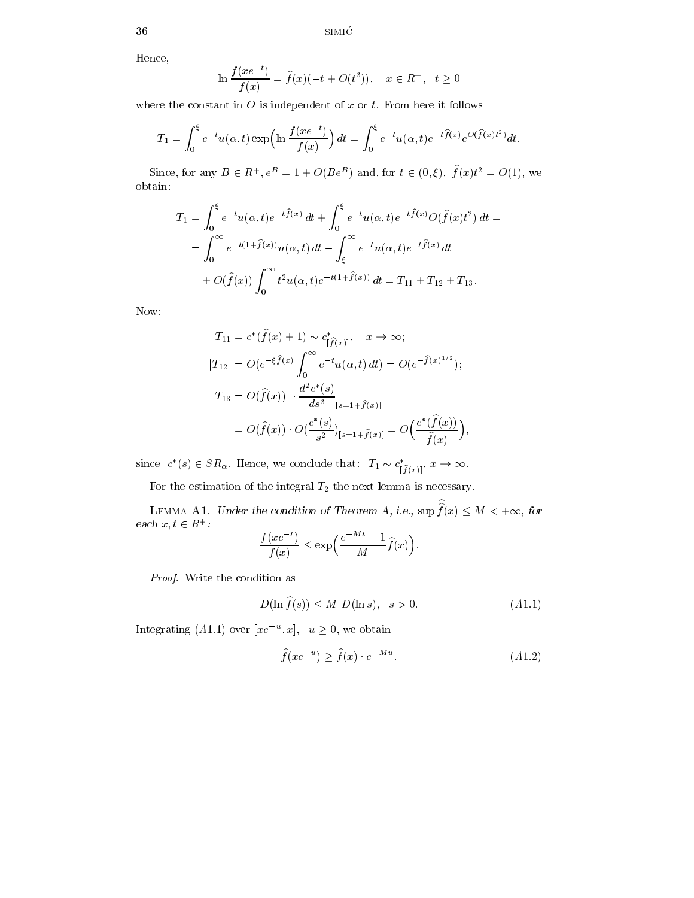Hence,

$$
\ln \frac{f(xe^{-t})}{f(x)} = \hat{f}(x)(-t + O(t^2)), \quad x \in \mathbb{R}^+, \quad t \ge 0
$$

where the constant in  $O$  is independent of  $x$  or  $t$ . From here it follows

$$
T_1 = \int_0^{\xi} e^{-t} u(\alpha, t) \exp\left(\ln \frac{f(xe^{-t})}{f(x)}\right) dt = \int_0^{\xi} e^{-t} u(\alpha, t) e^{-t \hat{f}(x)} e^{O(\hat{f}(x)t^2)} dt.
$$

Since, for any  $B \in R^+, e^B = 1 + O(Be^B)$  and, for  $t \in (0, \xi)$ ,  $f(x)t^2 = O(1)$ , we obtain:

$$
T_1 = \int_0^{\xi} e^{-t} u(\alpha, t) e^{-t \hat{f}(x)} dt + \int_0^{\xi} e^{-t} u(\alpha, t) e^{-t \hat{f}(x)} O(\hat{f}(x) t^2) dt =
$$
  
= 
$$
\int_0^{\infty} e^{-t(1+\hat{f}(x))} u(\alpha, t) dt - \int_{\xi}^{\infty} e^{-t} u(\alpha, t) e^{-t \hat{f}(x)} dt
$$
  
+ 
$$
O(\hat{f}(x)) \int_0^{\infty} t^2 u(\alpha, t) e^{-t(1+\hat{f}(x))} dt = T_{11} + T_{12} + T_{13}.
$$

Now:

$$
T_{11} = c^*(\hat{f}(x) + 1) \sim c^*_{[\hat{f}(x)]}, \quad x \to \infty;
$$
  
\n
$$
|T_{12}| = O(e^{-\xi \hat{f}(x)} \int_0^\infty e^{-t} u(\alpha, t) dt) = O(e^{-\hat{f}(x)^{1/2}});
$$
  
\n
$$
T_{13} = O(\hat{f}(x)) \cdot \frac{d^2 c^*(s)}{ds^2}_{[s=1+\hat{f}(x)]} = O\left(\frac{c^*(\hat{f}(x))}{\hat{f}(x)}\right),
$$
  
\n
$$
= O(\hat{f}(x)) \cdot O\left(\frac{c^*(s)}{s^2}\right)_{[s=1+\hat{f}(x)]} = O\left(\frac{c^*(\hat{f}(x))}{\hat{f}(x)}\right),
$$

since  $c^*(s) \in SR_\alpha$ . Hence, we conclude that:  $T_1 \sim c^*_{[\widehat{f}(x)]}, x \to \infty$ .

For the estimation of the integral  $T_2$  the next lemma is necessary.

LEMMA A1. Under the condition of Theorem A, i.e.,  $\sup f(x) \leq M < +\infty$ , for each  $x, t \in R^+$ :

$$
\frac{f(xe^{-t})}{f(x)} \le \exp\left(\frac{e^{-Mt} - 1}{M}\hat{f}(x)\right).
$$

Proof. Write the condition as

$$
D(\ln \hat{f}(s)) \le M \ D(\ln s), \quad s > 0. \tag{A1.1}
$$

Integrating (A1.1) over  $|xe^{-u},x|$ ,  $u \ge 0$ , we obtain

$$
\widehat{f}(xe^{-u}) \ge \widehat{f}(x) \cdot e^{-Mu}.\tag{A1.2}
$$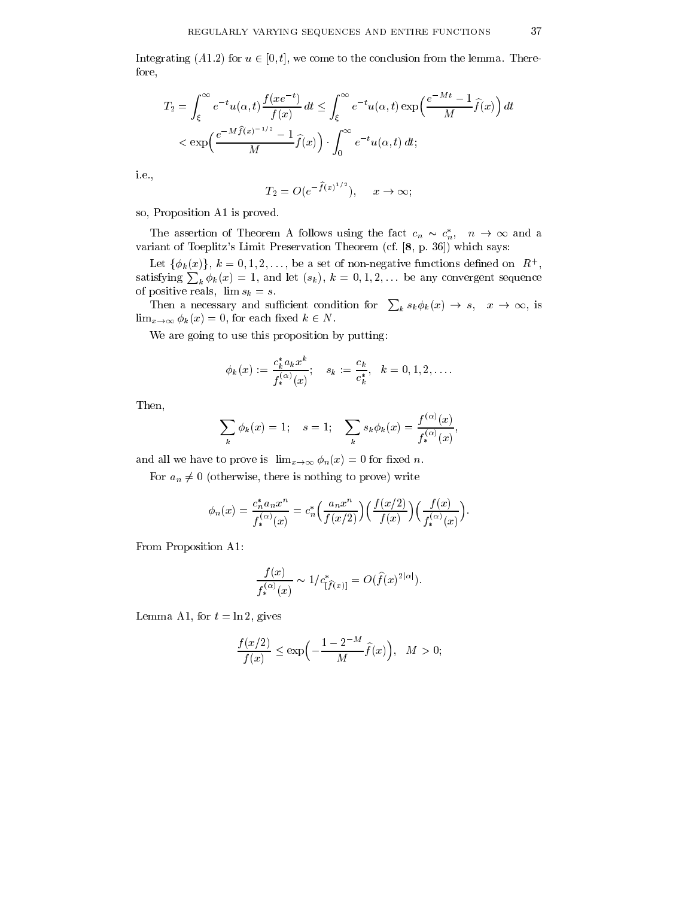Integrating (A1.2) for  $u \in [0, t]$ , we come to the conclusion from the lemma. Therefore,

$$
T_2 = \int_{\xi}^{\infty} e^{-t} u(\alpha, t) \frac{f(xe^{-t})}{f(x)} dt \le \int_{\xi}^{\infty} e^{-t} u(\alpha, t) \exp\left(\frac{e^{-Mt} - 1}{M}\hat{f}(x)\right) dt
$$
  

$$
< \exp\left(\frac{e^{-M\hat{f}(x)^{-1/2}} - 1}{M}\hat{f}(x)\right) \cdot \int_{0}^{\infty} e^{-t} u(\alpha, t) dt;
$$

i.e.,

$$
T_2 = O(e^{-\widehat{f}(x)^{1/2}}), \quad x \to \infty;
$$

so, Proposition A1 is proved.

The assertion of Theorem A follows using the fact  $c_n \sim c_n^*$ ,  $n \to \infty$  and a variant of Toeplitz's Limit Preservation Theorem (cf. [8, p. 36]) which says:

Let  $\{\phi_k(x)\}\,$ ,  $k = 0, 1, 2, \ldots$ , be a set of non-negative functions defined on  $R^+$ , , and the contract of the contract of the contract of the contract of the contract of the contract of the contract of the contract of the contract of the contract of the contract of the contract of the contract of the con satisfying  $\sum_k \phi_k(x) = 1$ , and let  $(s_k)$ ,  $k = 0, 1, 2, \ldots$  be any convergent sequence of positive reals,  $\lim s_k = s$ .

Then a necessary and sufficient condition for  $\sum_k s_k \phi_k(x) \to s$ ,  $x \to \infty$ , is  $\lim_{x\to\infty} \phi_k(x) = 0$ , for each fixed  $k \in N$ .

We are going to use this proposition by putting:

$$
\phi_k(x):=\frac{c_k^*a_kx^k}{f_*^{(\alpha)}(x)};\quad s_k:=\frac{c_k}{c_k^*},\quad k=0,1,2,\ldots.
$$

Then,

$$
\sum_{k} \phi_{k}(x) = 1; \quad s = 1; \quad \sum_{k} s_{k} \phi_{k}(x) = \frac{f^{(\alpha)}(x)}{f^{(\alpha)}_{*}(x)},
$$

and all we have to prove is  $\lim_{x\to\infty} \phi_n(x) = 0$  for fixed n.

For  $a_n \neq 0$  (otherwise, there is nothing to prove) write

$$
\phi_n(x) = \frac{c_n^* a_n x^n}{f_*^{(\alpha)}(x)} = c_n^* \left( \frac{a_n x^n}{f(x/2)} \right) \left( \frac{f(x/2)}{f(x)} \right) \left( \frac{f(x)}{f_*^{(\alpha)}(x)} \right).
$$

From Proposition A1:

$$
\frac{f(x)}{f_*^{(\alpha)}(x)} \sim 1/c^*_{[\hat{f}(x)]} = O(\hat{f}(x)^{2|\alpha|}).
$$

Lemma A1, for  $t = \ln 2$ , gives

$$
\frac{f(x/2)}{f(x)} \le \exp\left(-\frac{1-2^{-M}}{M}\widehat{f}(x)\right), \quad M > 0;
$$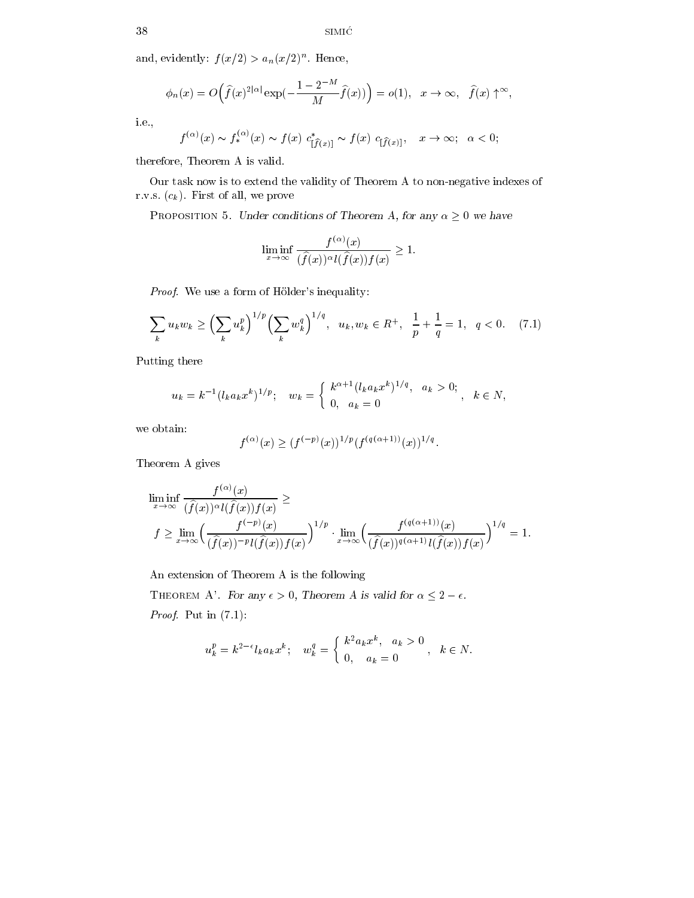and, evidently:  $f(x/2) > a_n(x/2)$ . Hence,

$$
\phi_n(x) = O\left(\hat{f}(x)^{2|\alpha|} \exp\left(-\frac{1-2^{-M}}{M}\hat{f}(x)\right)\right) = o(1), \quad x \to \infty, \quad \hat{f}(x) \uparrow^{\infty},
$$

i.e.,

$$
f^{(\alpha)}(x) \sim f^{(\alpha)}_*(x) \sim f(x) c^*_{[\widehat{f}(x)]} \sim f(x) c_{[\widehat{f}(x)]}, \quad x \to \infty; \quad \alpha < 0;
$$

therefore, Theorem A is valid.

Our task now is to extend the validity of Theorem A to non-negative indexes of r.v.s.  $(c_k)$ . First of all, we prove

PROPOSITION 5. Under conditions of Theorem A, for any  $\alpha \geq 0$  we have

$$
\liminf_{x \to \infty} \frac{f^{(\alpha)}(x)}{(\widehat{f}(x))^{\alpha} l(\widehat{f}(x)) f(x)} \ge 1.
$$

Proof. We use a form of Hölder's inequality:

$$
\sum_{k} u_{k} w_{k} \ge \left(\sum_{k} u_{k}^{p}\right)^{1/p} \left(\sum_{k} w_{k}^{q}\right)^{1/q}, \quad u_{k}, w_{k} \in R^{+}, \quad \frac{1}{p} + \frac{1}{q} = 1, \quad q < 0. \tag{7.1}
$$

Putting there

$$
u_k = k^{-1} (l_k a_k x^k)^{1/p}; \quad w_k = \begin{cases} k^{\alpha+1} (l_k a_k x^k)^{1/q}, & a_k > 0; \\ 0, & a_k = 0 \end{cases}, \quad k \in N,
$$

we obtain:

$$
f^{(\alpha)}(x)\ge (f^{(-p)}(x))^{1/p}(f^{(q(\alpha+1))}(x))^{1/q}.
$$

Theorem A gives

$$
\liminf_{x \to \infty} \frac{f^{(\alpha)}(x)}{(\hat{f}(x))^{\alpha} l(\hat{f}(x)) f(x)} \ge
$$
\n
$$
f \ge \lim_{x \to \infty} \left( \frac{f^{(-p)}(x)}{(\hat{f}(x))^{-p} l(\hat{f}(x)) f(x)} \right)^{1/p} \cdot \lim_{x \to \infty} \left( \frac{f^{(q(\alpha+1))}(x)}{(\hat{f}(x))^{q(\alpha+1)} l(\hat{f}(x)) f(x)} \right)^{1/q} = 1.
$$

An extension of Theorem A is the following

THEOREM A'. For any  $\epsilon > 0$ , Theorem A is valid for  $\alpha \leq 2 - \epsilon$ . *Proof.* Put in  $(7.1)$ :

$$
u_k^p = k^{2-\epsilon} l_k a_k x^k; \quad w_k^q = \begin{cases} k^2 a_k x^k, & a_k > 0 \\ 0, & a_k = 0 \end{cases}, \quad k \in N.
$$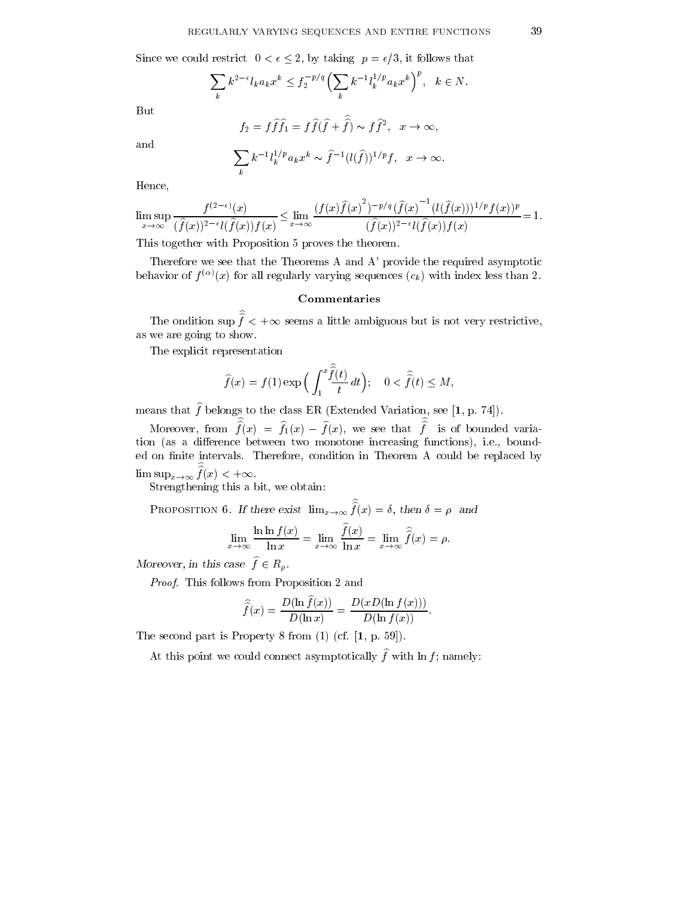Since we could restrict  $0 < \epsilon \leq 2$ , by taking  $p = \epsilon/3$ , it follows that

$$
\sum_{k} k^{2-\epsilon} l_k a_k x^k \le f_2^{-p/q} \left(\sum_{k} k^{-1} l_k^{1/p} a_k x^k\right)^p, \quad k \in N.
$$

But

$$
f_2 = f\hat{f}\hat{f}_1 = f\hat{f}(\hat{f} + \hat{f}) \sim f\hat{f}^2
$$
,  $x \to \infty$ ,

and

$$
\sum_k k^{-1} l_k^{1/p} a_k x^k \sim \hat{f}^{-1}(l(\hat{f}))^{1/p} f, \quad x \to \infty.
$$

Hence,

$$
\limsup_{x \to \infty} \frac{f^{(2-\epsilon)}(x)}{(\hat{f}(x))^{2-\epsilon} l(\hat{f}(x)) f(x)} \le \lim_{x \to \infty} \frac{(f(x)\hat{f}(x)^2)^{-p/q} (\hat{f}(x)^{-1} (l(\hat{f}(x)))^{1/p} f(x))^p}{(\hat{f}(x))^{2-\epsilon} l(\hat{f}(x)) f(x)} = 1.
$$

This together with Proposition 5 proves the theorem.

Therefore we see that the Theorems A and A' provide the required asymptotic behavior of  $f^{(\alpha)}(x)$  for all regularly varying sequences  $(c_k)$  with index less than 2.

#### Commentaries

The ondition sup  $f < +\infty$  seems a little ambiguous but is not very restrictive, as we are going to show.

The explicit representation

$$
\widehat{f}(x) = f(1) \exp\Big(\int_1^x \frac{\widehat{f}(t)}{t} dt\Big); \quad 0 < \widehat{\widehat{f}}(t) \le M,
$$

means that  $\widehat{f}$  belongs to the class ER (Extended Variation, see [1, p. 74]).

Moreover, from  $f(x) = f_1(x) - f(x)$ , we see that f is of bounded variation (as a difference between two monotone increasing functions), i.e., bounded on finite intervals. Therefore, condition in Theorem A could be replaced by  $\limsup_{x\to\infty} f(x) < +\infty.$ 

Strengthening this a bit, we obtain:

PROPOSITION 6. If there exist  $\lim_{x\to\infty} f(x) = \delta$ , then  $\delta = \rho$  and

$$
\lim_{x \to \infty} \frac{\ln \ln f(x)}{\ln x} = \lim_{x \to \infty} \frac{\widehat{f}(x)}{\ln x} = \lim_{x \to \infty} \widehat{\widehat{f}}(x) = \rho.
$$

Moreover, in this case  $\widehat{f} \in R_{\rho}$ .

Proof. This follows from Proposition 2 and

$$
\widehat{\widehat{f}}(x) = \frac{D(\ln \widehat{f}(x))}{D(\ln x)} = \frac{D(xD(\ln f(x)))}{D(\ln f(x))}.
$$

The second part is Property 8 from (1) (cf. [1, p. 59]).

At this point we could connect asymptotically  $\hat{f}$  with ln f; namely: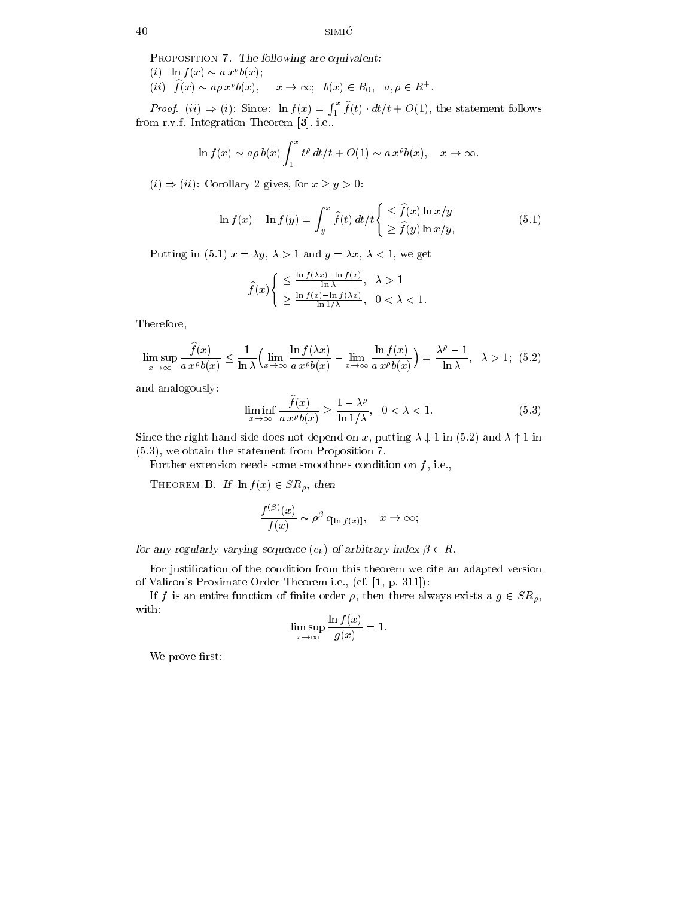PROPOSITION 7. The following are equivalent: (i)  $\ln f(x) \sim a x^{\rho} b(x);$ 

 $(ii)$   $f(x) \sim a \rho x^{\rho} b(x), \quad x \to \infty; \quad b(x) \in R_0, \quad a, \rho \in R^+$ .

*Proof.* (ii)  $\Rightarrow$  (i): Since:  $\ln f(x) = \int_1^x f(t) \cdot dt/t + O(1)$ , the statement follows from r.v.f. Integration Theorem [3], i.e.,

$$
\ln f(x) \sim a\rho b(x) \int_1^x t^{\rho} dt/t + O(1) \sim a x^{\rho} b(x), \quad x \to \infty.
$$

 $(i) \Rightarrow (ii)$ : Corollary 2 gives, for  $x \ge y > 0$ :

$$
\ln f(x) - \ln f(y) = \int_{y}^{x} \hat{f}(t) dt/t \begin{cases} \leq \hat{f}(x) \ln x/y \\ \geq \hat{f}(y) \ln x/y, \end{cases}
$$
(5.1)

Putting in (5.1)  $x = \lambda y$ ,  $\lambda > 1$  and  $y = \lambda x$ ,  $\lambda < 1$ , we get

$$
\hat{f}(x) \begin{cases} \leq \frac{\ln f(\lambda x) - \ln f(x)}{\ln \lambda}, & \lambda > 1 \\ \geq \frac{\ln f(x) - \ln f(\lambda x)}{\ln 1/\lambda}, & 0 < \lambda < 1. \end{cases}
$$

Therefore,

$$
\limsup_{x \to \infty} \frac{\widehat{f}(x)}{a x^{\rho} b(x)} \le \frac{1}{\ln \lambda} \Big( \lim_{x \to \infty} \frac{\ln f(\lambda x)}{a x^{\rho} b(x)} - \lim_{x \to \infty} \frac{\ln f(x)}{a x^{\rho} b(x)} \Big) = \frac{\lambda^{\rho} - 1}{\ln \lambda}, \quad \lambda > 1; \quad (5.2)
$$

and analogously:

$$
\liminf_{x \to \infty} \frac{\widehat{f}(x)}{a \, x^{\rho} b(x)} \ge \frac{1 - \lambda^{\rho}}{\ln 1/\lambda}, \quad 0 < \lambda < 1. \tag{5.3}
$$

Since the right-hand side does not depend on x, putting  $\lambda \downarrow 1$  in (5.2) and  $\lambda \uparrow 1$  in (5.3), we obtain the statement from Proposition 7.

Further extension needs some smoothnes condition on  $f$ , i.e.,

THEOREM B. If  $\ln f(x) \in SR_\rho$ , then

$$
\frac{f^{(\beta)}(x)}{f(x)} \sim \rho^{\beta} c_{\left[\ln f(x)\right]}, \quad x \to \infty;
$$

for any regularly varying sequence  $(c_k)$  of arbitrary index  $\beta \in R$ .

For justication of the condition from this theorem we cite an adapted version of Valiron's Proximate Order Theorem i.e., (cf. [1, p. 311]):

If f is an entire function of finite order  $\rho$ , then there always exists a  $g \in SR_\rho$ , with:

$$
\limsup_{x \to \infty} \frac{\ln f(x)}{g(x)} = 1.
$$

We prove first: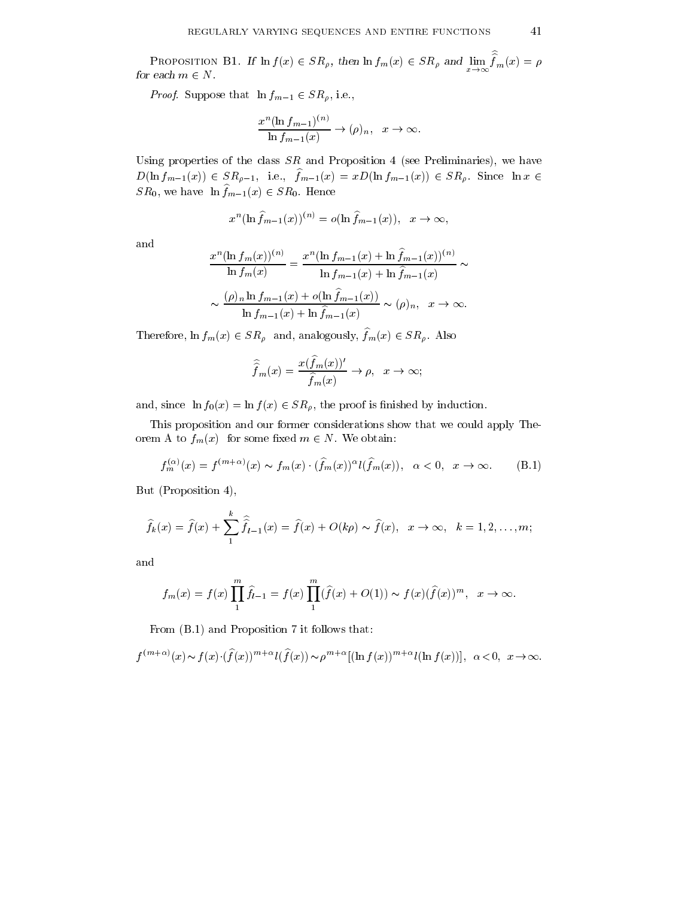PROPOSITION B1. If  $\ln f(x) \in SR_\rho$ , then  $\ln f_m(x) \in SR_\rho$  and  $\lim_{x\to\infty} f_m(x) = \rho$  $f_m(x) = \rho$ for each  $m \in N$ .

*Proof.* Suppose that  $\ln f_{m-1} \in SR_\rho$ , i.e.,

$$
\frac{x^n(\ln f_{m-1})^{(n)}}{\ln f_{m-1}(x)} \to (\rho)_n, \quad x \to \infty.
$$

Using properties of the class  $SR$  and Proposition 4 (see Preliminaries), we have  $D(\ln f_{m-1}(x)) \in SR_{\rho-1}$ , i.e.,  $\hat{f}_{m-1}(x) = xD(\ln f_{m-1}(x)) \in SR_{\rho}$ . Since  $\ln x \in$  $SR_0$ , we have  $\ln f_{m-1}(x) \in SR_0$ . Hence

$$
x^{n}(\ln \widehat{f}_{m-1}(x))^{(n)} = o(\ln \widehat{f}_{m-1}(x)), \quad x \to \infty,
$$

and

$$
\frac{x^n(\ln f_m(x))^{(n)}}{\ln f_m(x)} = \frac{x^n(\ln f_{m-1}(x) + \ln \hat{f}_{m-1}(x))^{(n)}}{\ln f_{m-1}(x) + \ln \hat{f}_{m-1}(x)} \sim
$$

$$
\sim \frac{(\rho)_n \ln f_{m-1}(x) + o(\ln \hat{f}_{m-1}(x))}{\ln f_{m-1}(x) + \ln \hat{f}_{m-1}(x)} \sim (\rho)_n, \quad x \to \infty.
$$

Therefore,  $\ln f_m(x) \in SR_\rho$  and, analogously,  $\widehat{f}_m(x) \in SR_\rho$ . Also

$$
\widehat{\widehat{f}}_m(x) = \frac{x(\widehat{f}_m(x))'}{\widehat{f}_m(x)} \to \rho, \quad x \to \infty;
$$

and, since  $\ln f_0(x) = \ln f(x) \in SR_\rho$ , the proof is finished by induction.

This proposition and our former considerations show that we could apply Theorem A to  $f_m(x)$  for some fixed  $m \in N$ . We obtain:

$$
f_m^{(\alpha)}(x) = f^{(m+\alpha)}(x) \sim f_m(x) \cdot (\widehat{f}_m(x))^{\alpha} l(\widehat{f}_m(x)), \quad \alpha < 0, \quad x \to \infty.
$$
 (B.1)

But (Proposition 4),

$$
\widehat{f}_k(x) = \widehat{f}(x) + \sum_{1}^{k} \widehat{\widehat{f}}_{l-1}(x) = \widehat{f}(x) + O(k\rho) \sim \widehat{f}(x), \quad x \to \infty, \quad k = 1, 2, \dots, m;
$$

and

$$
f_m(x) = f(x) \prod_1^m \hat{f}_{i-1} = f(x) \prod_1^m (\hat{f}(x) + O(1)) \sim f(x) (\hat{f}(x))^m
$$
,  $x \to \infty$ .

From (B.1) and Proposition 7 it follows that:

$$
f^{(m+\alpha)}(x) \sim f(x) \cdot (\hat{f}(x))^{m+\alpha} l(\hat{f}(x)) \sim \rho^{m+\alpha} [(\ln f(x))^{m+\alpha} l(\ln f(x))], \ \alpha < 0, \ \ x \to \infty.
$$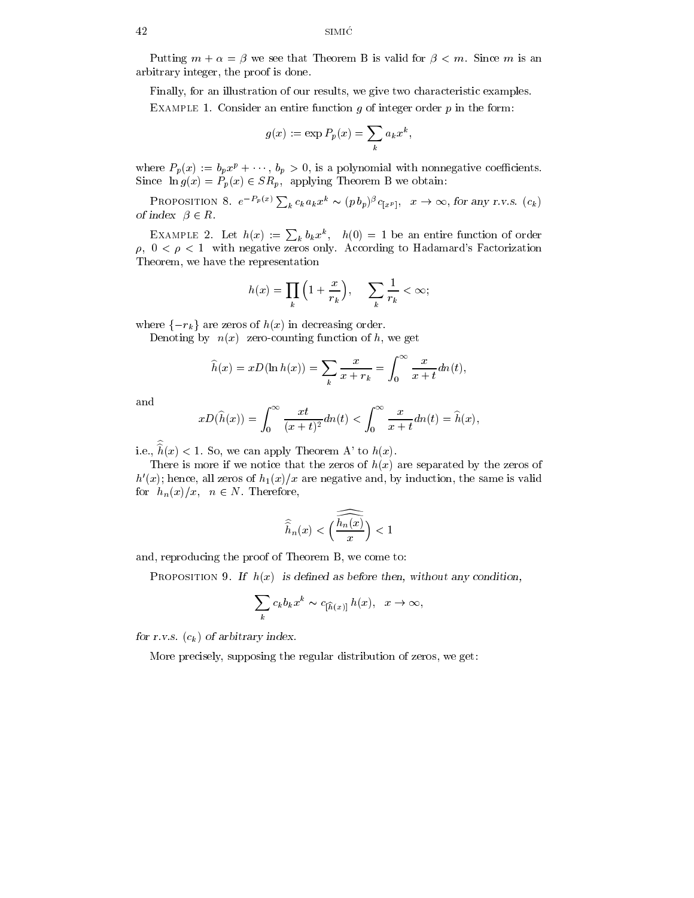Putting  $m + \alpha = \beta$  we see that Theorem B is valid for  $\beta < m$ . Since m is an arbitrary integer, the proof is done.

Finally, for an illustration of our results, we give two characteristic examples. EXAMPLE 1. Consider an entire function q of integer order  $p$  in the form:

$$
g(x) := \exp P_p(x) = \sum_k a_k x^k,
$$

where  $P_p(x) := b_p x^p + \cdots, b_p > 0$ , is a polynomial with nonnegative coefficients. Since  $\ln g(x) = P_p(x) \in SR_p$ , applying Theorem B we obtain:

Proposition 8.  $e^{-P_p(x)}\sum_k c_k a_k x^k \sim (p\,b_p)^{\beta}c_{[x^p]}, x \to \infty$ , for any r.v.s.  $(c_k)$ of index  $\beta \in R$ .

EXAMPLE 2. Let  $h(x) := \sum_k b_k x^k$ ,  $h(0) = 1$  be an entire function of order  $\rho$ ,  $0 < \rho < 1$  with negative zeros only. According to Hadamard's Factorization Theorem, we have the representation

$$
h(x) = \prod_{k} \left( 1 + \frac{x}{r_k} \right), \quad \sum_{k} \frac{1}{r_k} < \infty;
$$

where  $\{-r_k\}$  are zeros of  $h(x)$  in decreasing order.

Denoting by  $n(x)$  zero-counting function of h, we get

$$
\widehat{h}(x) = xD(\ln h(x)) = \sum_{k} \frac{x}{x + r_k} = \int_0^\infty \frac{x}{x + t} dn(t),
$$

and

$$
xD(\widehat{h}(x)) = \int_0^\infty \frac{xt}{(x+t)^2} dn(t) < \int_0^\infty \frac{x}{x+t} dn(t) = \widehat{h}(x),
$$

i.e.,  $h(x) < 1$ . So, we can apply Theorem A' to  $h(x)$ .

There is more if we notice that the zeros of  $h(x)$  are separated by the zeros of  $h'(x)$ ; hence, all zeros of  $h_1(x)/x$  are negative and, by induction, the same is valid for  $h_n(x)/x$ ,  $n \in N$ . Therefore,

$$
\widehat{\widehat{h}}_n(x)<\Big(\widehat{\overline{\frac{h_n(x)}{x}}}\Big)<1
$$

and, reproducing the proof of Theorem B, we come to:

PROPOSITION 9. If  $h(x)$  is defined as before then, without any condition,

$$
\sum_k c_k b_k x^k \sim c_{[\widehat{h}(x)]} h(x), \quad x \to \infty,
$$

for r.v.s.  $(c_k)$  of arbitrary index.

More precisely, supposing the regular distribution of zeros, we get: